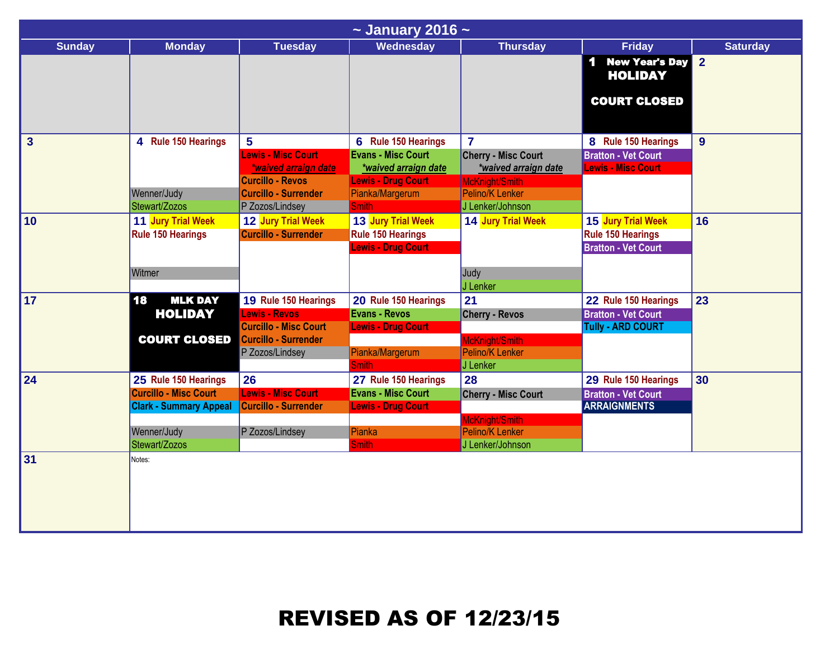| $\sim$ January 2016 $\sim$ |                               |                                              |                                              |                            |                                                        |                 |  |  |
|----------------------------|-------------------------------|----------------------------------------------|----------------------------------------------|----------------------------|--------------------------------------------------------|-----------------|--|--|
| <b>Sunday</b>              | <b>Monday</b>                 | <b>Tuesday</b>                               | Wednesday                                    | <b>Thursday</b>            | <b>Friday</b>                                          | <b>Saturday</b> |  |  |
|                            |                               |                                              |                                              |                            | <b>New Year's Day</b><br><b>HOLIDAY</b>                | $\overline{2}$  |  |  |
|                            |                               |                                              |                                              |                            | <b>COURT CLOSED</b>                                    |                 |  |  |
| 3                          | 4 Rule 150 Hearings           | 5                                            | 6 Rule 150 Hearings                          | $\overline{7}$             | 8 Rule 150 Hearings                                    | $9\phantom{.}$  |  |  |
|                            |                               | <b>Lewis - Misc Court</b>                    | <b>Evans - Misc Court</b>                    | <b>Cherry - Misc Court</b> | <b>Bratton - Vet Court</b>                             |                 |  |  |
|                            |                               | *waived arraign date                         | *waived arraign date                         | *waived arraign date       | <b>Lewis - Misc Court</b>                              |                 |  |  |
|                            |                               | <b>Curcillo - Revos</b>                      | <b>Lewis - Drug Court</b>                    | McKnight/Smith             |                                                        |                 |  |  |
|                            | Wenner/Judy                   | <b>Curcillo - Surrender</b>                  | Pianka/Margerum                              | Pelino/K Lenker            |                                                        |                 |  |  |
|                            | Stewart/Zozos                 | P Zozos/Lindsey                              | <b>Smith</b>                                 | J Lenker/Johnson           |                                                        |                 |  |  |
| 10                         | 11 Jury Trial Week            | 12 Jury Trial Week                           | 13 Jury Trial Week                           | 14 Jury Trial Week         | 15 Jury Trial Week                                     | 16              |  |  |
|                            | <b>Rule 150 Hearings</b>      | <b>Curcillo - Surrender</b>                  | <b>Rule 150 Hearings</b>                     |                            | <b>Rule 150 Hearings</b>                               |                 |  |  |
|                            |                               |                                              | <b>Lewis - Drug Court</b>                    |                            | <b>Bratton - Vet Court</b>                             |                 |  |  |
|                            |                               |                                              |                                              |                            |                                                        |                 |  |  |
|                            | Witmer                        |                                              |                                              | Judy                       |                                                        |                 |  |  |
| 17                         | 18<br><b>MLK DAY</b>          |                                              |                                              | J Lenker<br>21             |                                                        | 23              |  |  |
|                            |                               | 19 Rule 150 Hearings<br><b>Lewis - Revos</b> | 20 Rule 150 Hearings<br><b>Evans - Revos</b> |                            | 22 Rule 150 Hearings                                   |                 |  |  |
|                            | <b>HOLIDAY</b>                | <b>Curcillo - Misc Court</b>                 | <b>Lewis - Drug Court</b>                    | <b>Cherry - Revos</b>      | <b>Bratton - Vet Court</b><br><b>Tully - ARD COURT</b> |                 |  |  |
|                            | <b>COURT CLOSED</b>           | <b>Curcillo - Surrender</b>                  |                                              | McKnight/Smith             |                                                        |                 |  |  |
|                            |                               | P Zozos/Lindsey                              | Pianka/Margerum                              | Pelino/K Lenker            |                                                        |                 |  |  |
|                            |                               |                                              | <b>Smith</b>                                 | J Lenker                   |                                                        |                 |  |  |
| 24                         | 25 Rule 150 Hearings          | 26                                           | 27 Rule 150 Hearings                         | 28                         | 29 Rule 150 Hearings                                   | 30              |  |  |
|                            | <b>Curcillo - Misc Court</b>  | <b>Lewis - Misc Court</b>                    | <b>Evans - Misc Court</b>                    | <b>Cherry - Misc Court</b> | <b>Bratton - Vet Court</b>                             |                 |  |  |
|                            | <b>Clark - Summary Appeal</b> | Curcillo - Surrender                         | <b>Lewis - Drug Court</b>                    |                            | <b>ARRAIGNMENTS</b>                                    |                 |  |  |
|                            |                               |                                              |                                              | McKnight/Smith             |                                                        |                 |  |  |
|                            | Wenner/Judy                   | P Zozos/Lindsey                              | Pianka                                       | Pelino/K Lenker            |                                                        |                 |  |  |
|                            | Stewart/Zozos                 |                                              | <b>Smith</b>                                 | J Lenker/Johnson           |                                                        |                 |  |  |
| 31                         | Notes:                        |                                              |                                              |                            |                                                        |                 |  |  |
|                            |                               |                                              |                                              |                            |                                                        |                 |  |  |
|                            |                               |                                              |                                              |                            |                                                        |                 |  |  |
|                            |                               |                                              |                                              |                            |                                                        |                 |  |  |
|                            |                               |                                              |                                              |                            |                                                        |                 |  |  |
|                            |                               |                                              |                                              |                            |                                                        |                 |  |  |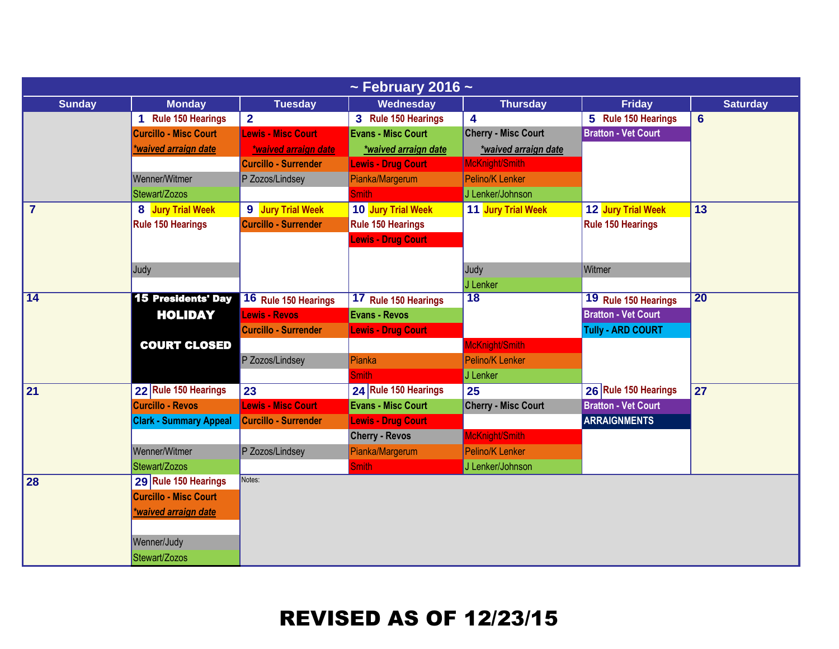| $\sim$ February 2016 $\sim$ |                               |                             |                           |                            |                            |                 |  |  |
|-----------------------------|-------------------------------|-----------------------------|---------------------------|----------------------------|----------------------------|-----------------|--|--|
| <b>Sunday</b>               | <b>Monday</b>                 | <b>Tuesday</b>              | Wednesday                 | <b>Thursday</b>            | <b>Friday</b>              | <b>Saturday</b> |  |  |
|                             | 1 Rule 150 Hearings           | $\overline{2}$              | 3 Rule 150 Hearings       | 4                          | 5 Rule 150 Hearings        | $6\phantom{1}$  |  |  |
|                             | <b>Curcillo - Misc Court</b>  | <b>Lewis - Misc Court</b>   | <b>Evans - Misc Court</b> | <b>Cherry - Misc Court</b> | <b>Bratton - Vet Court</b> |                 |  |  |
|                             | *waived arraign date          | *waived arraign date        | *waived arraign date      | *waived arraign date       |                            |                 |  |  |
|                             |                               | <b>Curcillo - Surrender</b> | <b>Lewis - Drug Court</b> | McKnight/Smith             |                            |                 |  |  |
|                             | Wenner/Witmer                 | P Zozos/Lindsey             | Pianka/Margerum           | Pelino/K Lenker            |                            |                 |  |  |
|                             | Stewart/Zozos                 |                             | <b>Smith</b>              | J Lenker/Johnson           |                            |                 |  |  |
| $\overline{7}$              | 8 Jury Trial Week             | 9 Jury Trial Week           | 10 Jury Trial Week        | 11 Jury Trial Week         | 12 Jury Trial Week         | 13              |  |  |
|                             | <b>Rule 150 Hearings</b>      | <b>Curcillo - Surrender</b> | Rule 150 Hearings         |                            | Rule 150 Hearings          |                 |  |  |
|                             |                               |                             | <b>Lewis - Drug Court</b> |                            |                            |                 |  |  |
|                             |                               |                             |                           |                            |                            |                 |  |  |
|                             | Judy                          |                             |                           | Judy                       | Witmer                     |                 |  |  |
|                             |                               |                             |                           | J Lenker                   |                            |                 |  |  |
| $\overline{14}$             | <b>15 Presidents' Day</b>     | 16 Rule 150 Hearings        | 17 Rule 150 Hearings      | $\overline{18}$            | 19 Rule 150 Hearings       | $\overline{20}$ |  |  |
|                             | <b>HOLIDAY</b>                | Lewis - Revos               | <b>Evans - Revos</b>      |                            | <b>Bratton - Vet Court</b> |                 |  |  |
|                             |                               | <b>Curcillo - Surrender</b> | <b>Lewis - Drug Court</b> |                            | <b>Tully - ARD COURT</b>   |                 |  |  |
|                             | <b>COURT CLOSED</b>           |                             |                           | McKnight/Smith             |                            |                 |  |  |
|                             |                               | P Zozos/Lindsey             | Pianka                    | Pelino/K Lenker            |                            |                 |  |  |
|                             |                               |                             | <b>Smith</b>              | J Lenker                   |                            |                 |  |  |
| 21                          | 22 Rule 150 Hearings          | 23                          | 24 Rule 150 Hearings      | 25                         | 26 Rule 150 Hearings       | 27              |  |  |
|                             | <b>Curcillo - Revos</b>       | <b>Lewis - Misc Court</b>   | <b>Evans - Misc Court</b> | <b>Cherry - Misc Court</b> | <b>Bratton - Vet Court</b> |                 |  |  |
|                             | <b>Clark - Summary Appeal</b> | <b>Curcillo - Surrender</b> | <b>Lewis - Drug Court</b> |                            | <b>ARRAIGNMENTS</b>        |                 |  |  |
|                             |                               |                             | <b>Cherry - Revos</b>     | McKnight/Smith             |                            |                 |  |  |
|                             | Wenner/Witmer                 | P Zozos/Lindsey             | Pianka/Margerum           | Pelino/K Lenker            |                            |                 |  |  |
|                             | Stewart/Zozos                 |                             | <b>Smith</b>              | J Lenker/Johnson           |                            |                 |  |  |
| 28                          | 29 Rule 150 Hearings          | Notes:                      |                           |                            |                            |                 |  |  |
|                             | <b>Curcillo - Misc Court</b>  |                             |                           |                            |                            |                 |  |  |
|                             | waived arraign date           |                             |                           |                            |                            |                 |  |  |
|                             |                               |                             |                           |                            |                            |                 |  |  |
|                             | Wenner/Judy                   |                             |                           |                            |                            |                 |  |  |
|                             | Stewart/Zozos                 |                             |                           |                            |                            |                 |  |  |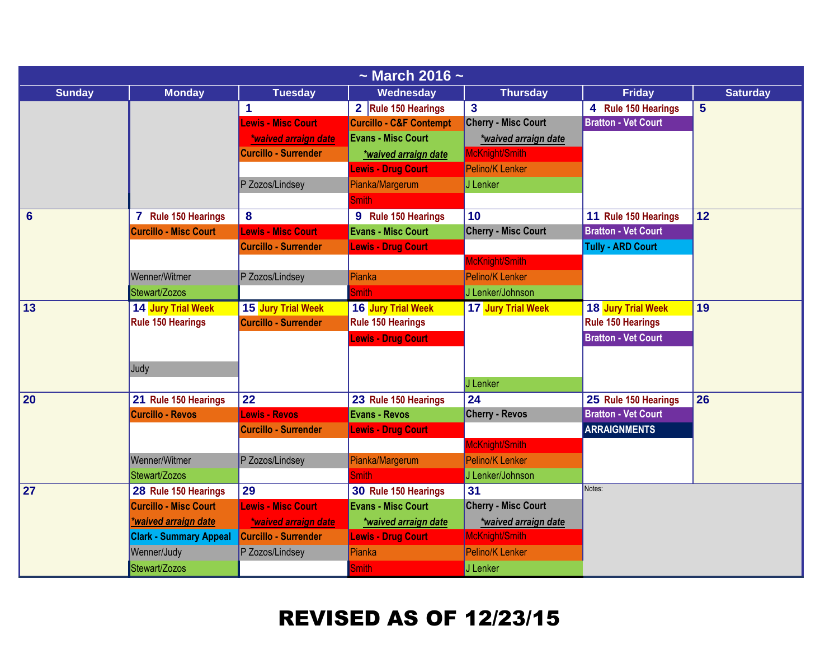| $\sim$ March 2016 $\sim$ |                               |                             |                                    |                            |                            |                 |  |
|--------------------------|-------------------------------|-----------------------------|------------------------------------|----------------------------|----------------------------|-----------------|--|
| <b>Sunday</b>            | <b>Monday</b>                 | <b>Tuesday</b>              | <b>Wednesday</b>                   | <b>Thursday</b>            | <b>Friday</b>              | <b>Saturday</b> |  |
|                          |                               | 1                           | 2 Rule 150 Hearings                | $\mathbf{3}$               | 4 Rule 150 Hearings        | 5               |  |
|                          |                               | <b>Lewis - Misc Court</b>   | <b>Curcillo - C&amp;F Contempt</b> | <b>Cherry - Misc Court</b> | <b>Bratton - Vet Court</b> |                 |  |
|                          |                               | *waived arraign date        | <b>Evans - Misc Court</b>          | *waived arraign date       |                            |                 |  |
|                          |                               | <b>Curcillo - Surrender</b> | *waived arraign date               | McKnight/Smith             |                            |                 |  |
|                          |                               |                             | <b>Lewis - Drug Court</b>          | Pelino/K Lenker            |                            |                 |  |
|                          |                               | P Zozos/Lindsey             | Pianka/Margerum                    | J Lenker                   |                            |                 |  |
|                          |                               |                             | <b>Smith</b>                       |                            |                            |                 |  |
| $6\phantom{1}6$          | 7 Rule 150 Hearings           | 8                           | 9 Rule 150 Hearings                | 10                         | 11 Rule 150 Hearings       | 12              |  |
|                          | <b>Curcillo - Misc Court</b>  | <b>Lewis - Misc Court</b>   | <b>Evans - Misc Court</b>          | <b>Cherry - Misc Court</b> | <b>Bratton - Vet Court</b> |                 |  |
|                          |                               | <b>Curcillo - Surrender</b> | <b>Lewis - Drug Court</b>          |                            | <b>Tully - ARD Court</b>   |                 |  |
|                          |                               |                             |                                    | McKnight/Smith             |                            |                 |  |
|                          | Wenner/Witmer                 | P Zozos/Lindsey             | Pianka                             | <b>Pelino/K Lenker</b>     |                            |                 |  |
|                          | Stewart/Zozos                 |                             | <b>Smith</b>                       | J Lenker/Johnson           |                            |                 |  |
| $\sqrt{13}$              | 14 Jury Trial Week            | 15 Jury Trial Week          | 16 Jury Trial Week                 | 17 Jury Trial Week         | 18 Jury Trial Week         | 19              |  |
|                          | <b>Rule 150 Hearings</b>      | <b>Curcillo - Surrender</b> | <b>Rule 150 Hearings</b>           |                            | <b>Rule 150 Hearings</b>   |                 |  |
|                          |                               |                             | <b>Lewis - Drug Court</b>          |                            | <b>Bratton - Vet Court</b> |                 |  |
|                          |                               |                             |                                    |                            |                            |                 |  |
|                          | Judy                          |                             |                                    |                            |                            |                 |  |
|                          |                               |                             |                                    | J Lenker                   |                            |                 |  |
| 20                       | 21 Rule 150 Hearings          | 22                          | 23 Rule 150 Hearings               | 24                         | 25 Rule 150 Hearings       | 26              |  |
|                          | <b>Curcillo - Revos</b>       | Lewis - Revos               | <b>Evans - Revos</b>               | <b>Cherry - Revos</b>      | <b>Bratton - Vet Court</b> |                 |  |
|                          |                               | <b>Curcillo - Surrender</b> | <b>Lewis - Drug Court</b>          |                            | <b>ARRAIGNMENTS</b>        |                 |  |
|                          |                               |                             |                                    | McKnight/Smith             |                            |                 |  |
|                          | Wenner/Witmer                 | P Zozos/Lindsey             | Pianka/Margerum                    | Pelino/K Lenker            |                            |                 |  |
|                          | Stewart/Zozos                 |                             | <b>Smith</b>                       | J Lenker/Johnson           |                            |                 |  |
| 27                       | 28 Rule 150 Hearings          | 29                          | 30 Rule 150 Hearings               | 31                         | Notes:                     |                 |  |
|                          | <b>Curcillo - Misc Court</b>  | <b>Lewis - Misc Court</b>   | <b>Evans - Misc Court</b>          | <b>Cherry - Misc Court</b> |                            |                 |  |
|                          | *waived arraign date          | *waived arraign date        | *waived arraign date               | *waived arraign date       |                            |                 |  |
|                          | <b>Clark - Summary Appeal</b> | Curcillo - Surrender        | <b>Lewis - Drug Court</b>          | McKnight/Smith             |                            |                 |  |
|                          | Wenner/Judy                   | P Zozos/Lindsey             | Pianka                             | <b>Pelino/K Lenker</b>     |                            |                 |  |
|                          | Stewart/Zozos                 |                             | <b>Smith</b>                       | J Lenker                   |                            |                 |  |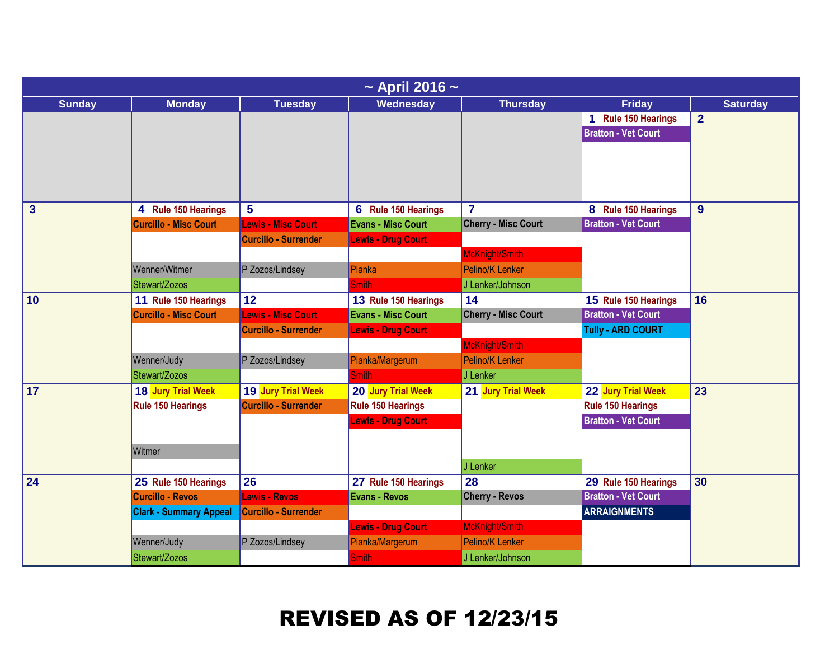|                 | $\sim$ April 2016 $\sim$      |                             |                           |                            |                                                   |                 |  |  |  |
|-----------------|-------------------------------|-----------------------------|---------------------------|----------------------------|---------------------------------------------------|-----------------|--|--|--|
| <b>Sunday</b>   | <b>Monday</b>                 | <b>Tuesday</b>              | Wednesday                 | <b>Thursday</b>            | <b>Friday</b>                                     | <b>Saturday</b> |  |  |  |
|                 |                               |                             |                           |                            | 1 Rule 150 Hearings<br><b>Bratton - Vet Court</b> | $\overline{2}$  |  |  |  |
|                 |                               |                             |                           |                            |                                                   |                 |  |  |  |
| $\mathbf{3}$    | 4 Rule 150 Hearings           | $5\phantom{.0}$             | 6 Rule 150 Hearings       | $\overline{7}$             | 8 Rule 150 Hearings                               | 9               |  |  |  |
|                 | <b>Curcillo - Misc Court</b>  | <b>Lewis - Misc Court</b>   | <b>Evans - Misc Court</b> | <b>Cherry - Misc Court</b> | <b>Bratton - Vet Court</b>                        |                 |  |  |  |
|                 |                               | <b>Curcillo - Surrender</b> | <b>Lewis - Drug Court</b> |                            |                                                   |                 |  |  |  |
|                 |                               |                             |                           | McKnight/Smith             |                                                   |                 |  |  |  |
|                 | Wenner/Witmer                 | P Zozos/Lindsey             | Pianka                    | Pelino/K Lenker            |                                                   |                 |  |  |  |
|                 | Stewart/Zozos                 |                             | <b>Smith</b>              | J Lenker/Johnson           |                                                   |                 |  |  |  |
| 10              | 11 Rule 150 Hearings          | 12                          | 13 Rule 150 Hearings      | 14                         | 15 Rule 150 Hearings                              | 16              |  |  |  |
|                 | <b>Curcillo - Misc Court</b>  | <b>Lewis - Misc Court</b>   | <b>Evans - Misc Court</b> | <b>Cherry - Misc Court</b> | <b>Bratton - Vet Court</b>                        |                 |  |  |  |
|                 |                               | <b>Curcillo - Surrender</b> | <b>Lewis - Drug Court</b> |                            | <b>Tully - ARD COURT</b>                          |                 |  |  |  |
|                 |                               |                             |                           | McKnight/Smith             |                                                   |                 |  |  |  |
|                 | Wenner/Judy                   | P Zozos/Lindsey             | Pianka/Margerum           | <b>Pelino/K Lenker</b>     |                                                   |                 |  |  |  |
|                 | Stewart/Zozos                 |                             | <b>Smith</b>              | J Lenker                   |                                                   |                 |  |  |  |
| $\overline{17}$ | 18 Jury Trial Week            | 19 Jury Trial Week          | 20 Jury Trial Week        | 21 Jury Trial Week         | 22 Jury Trial Week                                | 23              |  |  |  |
|                 | Rule 150 Hearings             | <b>Curcillo - Surrender</b> | <b>Rule 150 Hearings</b>  |                            | <b>Rule 150 Hearings</b>                          |                 |  |  |  |
|                 |                               |                             | <b>Lewis - Drug Court</b> |                            | <b>Bratton - Vet Court</b>                        |                 |  |  |  |
|                 |                               |                             |                           |                            |                                                   |                 |  |  |  |
|                 | Witmer                        |                             |                           |                            |                                                   |                 |  |  |  |
|                 |                               |                             |                           | J Lenker                   |                                                   |                 |  |  |  |
| 24              | 25 Rule 150 Hearings          | 26                          | 27 Rule 150 Hearings      | 28                         | 29 Rule 150 Hearings                              | 30              |  |  |  |
|                 | <b>Curcillo - Revos</b>       | <b>Lewis - Revos</b>        | <b>Evans - Revos</b>      | <b>Cherry - Revos</b>      | <b>Bratton - Vet Court</b>                        |                 |  |  |  |
|                 | <b>Clark - Summary Appeal</b> | <b>Curcillo - Surrender</b> |                           |                            | <b>ARRAIGNMENTS</b>                               |                 |  |  |  |
|                 |                               |                             | <b>Lewis - Drug Court</b> | McKnight/Smith             |                                                   |                 |  |  |  |
|                 | Wenner/Judy                   | P Zozos/Lindsey             | Pianka/Margerum           | Pelino/K Lenker            |                                                   |                 |  |  |  |
|                 | Stewart/Zozos                 |                             | <b>Smith</b>              | J Lenker/Johnson           |                                                   |                 |  |  |  |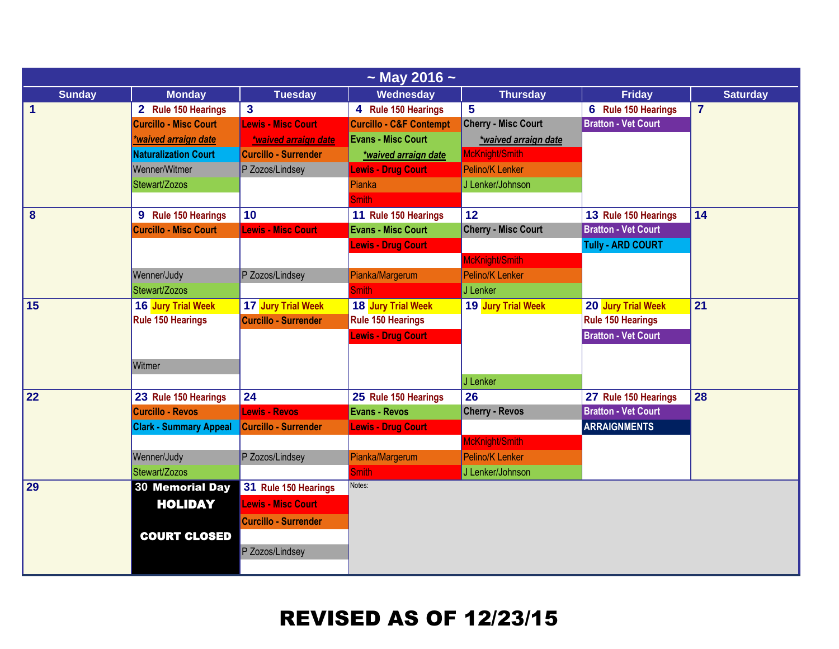| $\sim$ May 2016 $\sim$ |                               |                             |                                    |                            |                            |                 |  |  |
|------------------------|-------------------------------|-----------------------------|------------------------------------|----------------------------|----------------------------|-----------------|--|--|
| <b>Sunday</b>          | <b>Monday</b>                 | <b>Tuesday</b>              | Wednesday                          | <b>Thursday</b>            | <b>Friday</b>              | <b>Saturday</b> |  |  |
| $\mathbf{1}$           | 2 Rule 150 Hearings           | $\overline{\mathbf{3}}$     | 4 Rule 150 Hearings                | 5                          | 6 Rule 150 Hearings        | $\overline{7}$  |  |  |
|                        | <b>Curcillo - Misc Court</b>  | <b>Lewis - Misc Court</b>   | <b>Curcillo - C&amp;F Contempt</b> | <b>Cherry - Misc Court</b> | <b>Bratton - Vet Court</b> |                 |  |  |
|                        | *waived arraign date          | *waived arraign date        | <b>Evans - Misc Court</b>          | *waived arraign date       |                            |                 |  |  |
|                        | Naturalization Court          | <b>Curcillo - Surrender</b> | *waived arraign date               | McKnight/Smith             |                            |                 |  |  |
|                        | Wenner/Witmer                 | P Zozos/Lindsey             | <b>Lewis - Drug Court</b>          | Pelino/K Lenker            |                            |                 |  |  |
|                        | Stewart/Zozos                 |                             | Pianka                             | J Lenker/Johnson           |                            |                 |  |  |
|                        |                               |                             | <b>Smith</b>                       |                            |                            |                 |  |  |
| 8                      | 9 Rule 150 Hearings           | 10                          | 11 Rule 150 Hearings               | 12                         | 13 Rule 150 Hearings       | 14              |  |  |
|                        | <b>Curcillo - Misc Court</b>  | <b>Lewis - Misc Court</b>   | <b>Evans - Misc Court</b>          | <b>Cherry - Misc Court</b> | <b>Bratton - Vet Court</b> |                 |  |  |
|                        |                               |                             | <b>Lewis - Drug Court</b>          |                            | <b>Tully - ARD COURT</b>   |                 |  |  |
|                        |                               |                             |                                    | McKnight/Smith             |                            |                 |  |  |
|                        | Wenner/Judy                   | P Zozos/Lindsey             | Pianka/Margerum                    | Pelino/K Lenker            |                            |                 |  |  |
|                        | Stewart/Zozos                 |                             | <b>Smith</b>                       | J Lenker                   |                            |                 |  |  |
| 15                     | 16 Jury Trial Week            | 17 Jury Trial Week          | 18 Jury Trial Week                 | 19 Jury Trial Week         | 20 Jury Trial Week         | 21              |  |  |
|                        | <b>Rule 150 Hearings</b>      | <b>Curcillo - Surrender</b> | <b>Rule 150 Hearings</b>           |                            | <b>Rule 150 Hearings</b>   |                 |  |  |
|                        |                               |                             | <b>Lewis - Drug Court</b>          |                            | <b>Bratton - Vet Court</b> |                 |  |  |
|                        |                               |                             |                                    |                            |                            |                 |  |  |
|                        | Witmer                        |                             |                                    |                            |                            |                 |  |  |
|                        |                               |                             |                                    | J Lenker                   |                            |                 |  |  |
| 22                     | 23 Rule 150 Hearings          | 24                          | 25 Rule 150 Hearings               | 26                         | 27 Rule 150 Hearings       | 28              |  |  |
|                        | <b>Curcillo - Revos</b>       | Lewis - Revos               | <b>Evans - Revos</b>               | <b>Cherry - Revos</b>      | <b>Bratton - Vet Court</b> |                 |  |  |
|                        | <b>Clark - Summary Appeal</b> | <b>Curcillo - Surrender</b> | <b>Lewis - Drug Court</b>          |                            | <b>ARRAIGNMENTS</b>        |                 |  |  |
|                        |                               |                             |                                    | McKnight/Smith             |                            |                 |  |  |
|                        | Wenner/Judy                   | P Zozos/Lindsey             | Pianka/Margerum                    | Pelino/K Lenker            |                            |                 |  |  |
|                        | Stewart/Zozos                 |                             | <b>Smith</b>                       | J Lenker/Johnson           |                            |                 |  |  |
| 29                     | <b>30 Memorial Day</b>        | 31 Rule 150 Hearings        | Notes:                             |                            |                            |                 |  |  |
|                        | <b>HOLIDAY</b>                | <b>Lewis - Misc Court</b>   |                                    |                            |                            |                 |  |  |
|                        |                               | <b>Curcillo - Surrender</b> |                                    |                            |                            |                 |  |  |
|                        | <b>COURT CLOSED</b>           |                             |                                    |                            |                            |                 |  |  |
|                        |                               | P Zozos/Lindsey             |                                    |                            |                            |                 |  |  |
|                        |                               |                             |                                    |                            |                            |                 |  |  |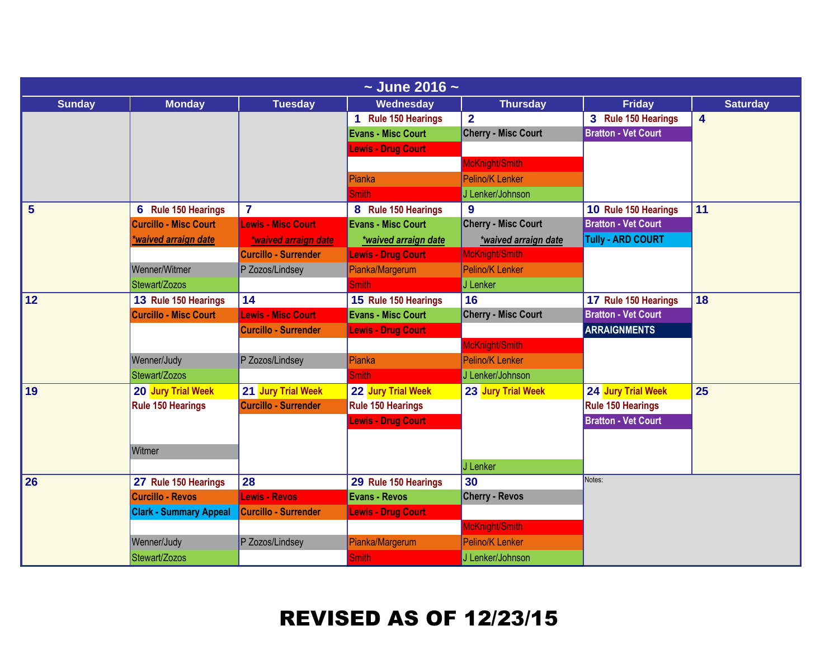| $\sim$ June 2016 $\sim$ |                               |                             |                           |                            |                            |                 |  |  |
|-------------------------|-------------------------------|-----------------------------|---------------------------|----------------------------|----------------------------|-----------------|--|--|
| <b>Sunday</b>           | <b>Monday</b>                 | <b>Tuesday</b>              | Wednesday                 | <b>Thursday</b>            | <b>Friday</b>              | <b>Saturday</b> |  |  |
|                         |                               |                             | 1 Rule 150 Hearings       | $\overline{2}$             | 3 Rule 150 Hearings        | 4               |  |  |
|                         |                               |                             | <b>Evans - Misc Court</b> | <b>Cherry - Misc Court</b> | <b>Bratton - Vet Court</b> |                 |  |  |
|                         |                               |                             | <b>Lewis - Drug Court</b> |                            |                            |                 |  |  |
|                         |                               |                             |                           | McKnight/Smith             |                            |                 |  |  |
|                         |                               |                             | Pianka                    | Pelino/K Lenker            |                            |                 |  |  |
|                         |                               |                             | <b>Smith</b>              | J Lenker/Johnson           |                            |                 |  |  |
| 5                       | 6 Rule 150 Hearings           | $\overline{\mathbf{7}}$     | 8 Rule 150 Hearings       | 9                          | 10 Rule 150 Hearings       | 11              |  |  |
|                         | <b>Curcillo - Misc Court</b>  | <b>Lewis - Misc Court</b>   | <b>Evans - Misc Court</b> | <b>Cherry - Misc Court</b> | <b>Bratton - Vet Court</b> |                 |  |  |
|                         | *waived arraign date          | *waived arraign date        | *waived arraign date      | *waived arraign date       | <b>Tully - ARD COURT</b>   |                 |  |  |
|                         |                               | <b>Curcillo - Surrender</b> | <b>Lewis - Drug Court</b> | McKnight/Smith             |                            |                 |  |  |
|                         | Wenner/Witmer                 | P Zozos/Lindsey             | Pianka/Margerum           | <b>Pelino/K Lenker</b>     |                            |                 |  |  |
|                         | Stewart/Zozos                 |                             | <b>Smith</b>              | J Lenker                   |                            |                 |  |  |
| 12                      | 13 Rule 150 Hearings          | 14                          | 15 Rule 150 Hearings      | 16                         | 17 Rule 150 Hearings       | 18              |  |  |
|                         | <b>Curcillo - Misc Court</b>  | <b>Lewis - Misc Court</b>   | <b>Evans - Misc Court</b> | <b>Cherry - Misc Court</b> | <b>Bratton - Vet Court</b> |                 |  |  |
|                         |                               | <b>Curcillo - Surrender</b> | <b>Lewis - Drug Court</b> |                            | <b>ARRAIGNMENTS</b>        |                 |  |  |
|                         |                               |                             |                           | McKnight/Smith             |                            |                 |  |  |
|                         | Wenner/Judy                   | P Zozos/Lindsey             | Pianka                    | <b>Pelino/K Lenker</b>     |                            |                 |  |  |
|                         | Stewart/Zozos                 |                             | <b>Smith</b>              | J Lenker/Johnson           |                            |                 |  |  |
| 19                      | 20 Jury Trial Week            | 21 Jury Trial Week          | 22 Jury Trial Week        | 23 Jury Trial Week         | 24 Jury Trial Week         | 25              |  |  |
|                         | <b>Rule 150 Hearings</b>      | <b>Curcillo - Surrender</b> | Rule 150 Hearings         |                            | <b>Rule 150 Hearings</b>   |                 |  |  |
|                         |                               |                             | <b>Lewis - Drug Court</b> |                            | <b>Bratton - Vet Court</b> |                 |  |  |
|                         |                               |                             |                           |                            |                            |                 |  |  |
|                         | Witmer                        |                             |                           |                            |                            |                 |  |  |
|                         |                               |                             |                           | J Lenker                   |                            |                 |  |  |
| 26                      | 27 Rule 150 Hearings          | 28                          | 29 Rule 150 Hearings      | 30                         | Notes:                     |                 |  |  |
|                         | <b>Curcillo - Revos</b>       | <b>Lewis - Revos</b>        | <b>Evans - Revos</b>      | <b>Cherry - Revos</b>      |                            |                 |  |  |
|                         | <b>Clark - Summary Appeal</b> | <b>Curcillo - Surrender</b> | <b>Lewis - Drug Court</b> |                            |                            |                 |  |  |
|                         |                               |                             |                           | McKnight/Smith             |                            |                 |  |  |
|                         | Wenner/Judy                   | P Zozos/Lindsey             | Pianka/Margerum           | Pelino/K Lenker            |                            |                 |  |  |
|                         | Stewart/Zozos                 |                             | <b>Smith</b>              | J Lenker/Johnson           |                            |                 |  |  |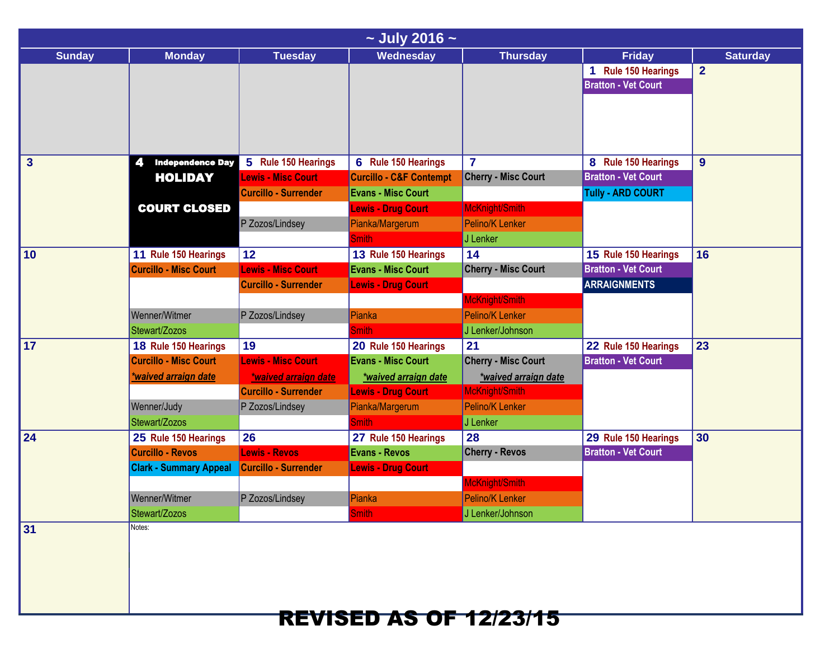|               | $\sim$ July 2016 $\sim$                                                                                                       |                                                                                                           |                                                                                                                                                           |                                                                                                                               |                                                                               |                                   |  |  |  |
|---------------|-------------------------------------------------------------------------------------------------------------------------------|-----------------------------------------------------------------------------------------------------------|-----------------------------------------------------------------------------------------------------------------------------------------------------------|-------------------------------------------------------------------------------------------------------------------------------|-------------------------------------------------------------------------------|-----------------------------------|--|--|--|
| <b>Sunday</b> | <b>Monday</b>                                                                                                                 | <b>Tuesday</b>                                                                                            | Wednesday                                                                                                                                                 | <b>Thursday</b>                                                                                                               | <b>Friday</b><br>1 Rule 150 Hearings<br><b>Bratton - Vet Court</b>            | <b>Saturday</b><br>$\overline{2}$ |  |  |  |
| $\mathbf{3}$  | <b>Independence Day</b><br><b>HOLIDAY</b>                                                                                     | 5 Rule 150 Hearings<br><b>Lewis - Misc Court</b><br><b>Curcillo - Surrender</b>                           | 6 Rule 150 Hearings<br><b>Curcillo - C&amp;F Contempt</b><br><b>Evans - Misc Court</b>                                                                    | $\overline{7}$<br><b>Cherry - Misc Court</b>                                                                                  | 8 Rule 150 Hearings<br><b>Bratton - Vet Court</b><br><b>Tully - ARD COURT</b> | 9                                 |  |  |  |
|               | <b>COURT CLOSED</b>                                                                                                           | P Zozos/Lindsey                                                                                           | <b>Lewis - Drug Court</b><br>Pianka/Margerum<br><b>Smith</b>                                                                                              | McKnight/Smith<br>Pelino/K Lenker<br>J Lenker                                                                                 |                                                                               |                                   |  |  |  |
| 10            | 11 Rule 150 Hearings<br><b>Curcillo - Misc Court</b><br>Wenner/Witmer                                                         | 12<br><b>Lewis - Misc Court</b><br><b>Curcillo - Surrender</b><br>P Zozos/Lindsey                         | 13 Rule 150 Hearings<br><b>Evans - Misc Court</b><br><b>Lewis - Drug Court</b><br>Pianka                                                                  | 14<br><b>Cherry - Misc Court</b><br>McKnight/Smith<br><b>Pelino/K Lenker</b>                                                  | 15 Rule 150 Hearings<br><b>Bratton - Vet Court</b><br><b>ARRAIGNMENTS</b>     | 16                                |  |  |  |
| 17            | Stewart/Zozos<br>18 Rule 150 Hearings<br><b>Curcillo - Misc Court</b><br>*waived arraign date<br>Wenner/Judy<br>Stewart/Zozos | 19<br><b>Lewis - Misc Court</b><br>*waived arraign date<br><b>Curcillo - Surrender</b><br>P Zozos/Lindsey | <b>Smith</b><br>20 Rule 150 Hearings<br><b>Evans - Misc Court</b><br>*waived arraign date<br><b>Lewis - Drug Court</b><br>Pianka/Margerum<br><b>Smith</b> | J Lenker/Johnson<br>21<br><b>Cherry - Misc Court</b><br>*waived arraign date<br>McKnight/Smith<br>Pelino/K Lenker<br>J Lenker | 22 Rule 150 Hearings<br><b>Bratton - Vet Court</b>                            | 23                                |  |  |  |
| 24            | 25 Rule 150 Hearings<br><b>Curcillo - Revos</b><br><b>Clark - Summary Appeal</b><br>Wenner/Witmer<br>Stewart/Zozos            | 26<br>Lewis - Revos<br><b>Curcillo - Surrender</b><br>P Zozos/Lindsey                                     | 27 Rule 150 Hearings<br><b>Evans - Revos</b><br><b>Lewis - Drug Court</b><br>Pianka<br>Smith                                                              | 28<br><b>Cherry - Revos</b><br>McKnight/Smith<br>Pelino/K Lenker<br>J Lenker/Johnson                                          | 29 Rule 150 Hearings<br><b>Bratton - Vet Court</b>                            | 30                                |  |  |  |
| 31            | Notes:                                                                                                                        |                                                                                                           | <b>REVISED AS OF 12/23/15</b>                                                                                                                             |                                                                                                                               |                                                                               |                                   |  |  |  |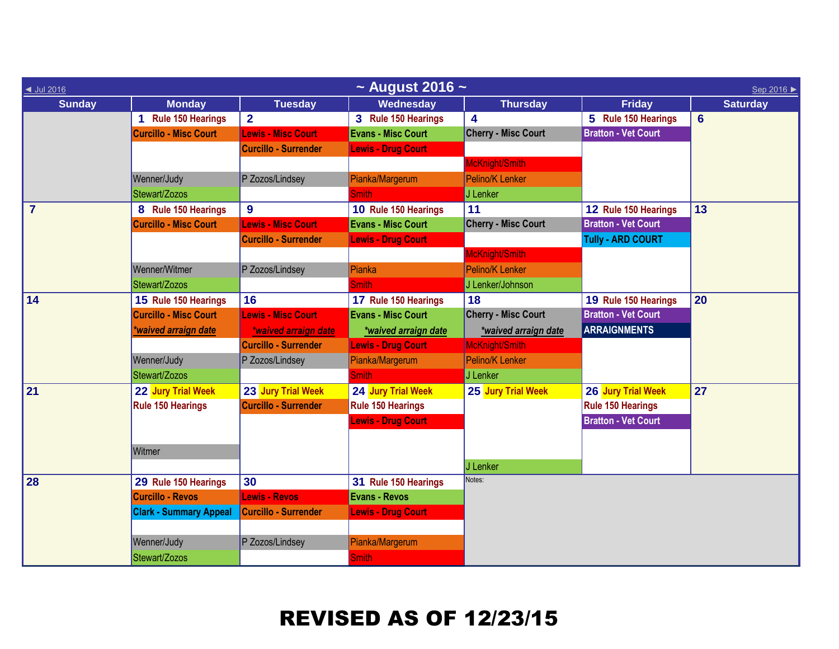| ◀ Jul 2016     | $\sim$ August 2016 $\sim$<br>Sep 2016 ▶ |                             |                           |                            |                            |                 |  |  |  |
|----------------|-----------------------------------------|-----------------------------|---------------------------|----------------------------|----------------------------|-----------------|--|--|--|
| <b>Sunday</b>  | <b>Monday</b>                           | <b>Tuesday</b>              | Wednesday                 | <b>Thursday</b>            | <b>Friday</b>              | <b>Saturday</b> |  |  |  |
|                | 1 Rule 150 Hearings                     | $\overline{2}$              | 3 Rule 150 Hearings       | $\overline{\mathbf{4}}$    | 5 Rule 150 Hearings        | $6\phantom{1}$  |  |  |  |
|                | <b>Curcillo - Misc Court</b>            | <b>Lewis - Misc Court</b>   | <b>Evans - Misc Court</b> | <b>Cherry - Misc Court</b> | <b>Bratton - Vet Court</b> |                 |  |  |  |
|                |                                         | <b>Curcillo - Surrender</b> | <b>Lewis - Drug Court</b> |                            |                            |                 |  |  |  |
|                |                                         |                             |                           | McKnight/Smith             |                            |                 |  |  |  |
|                | Wenner/Judy                             | P Zozos/Lindsey             | Pianka/Margerum           | Pelino/K Lenker            |                            |                 |  |  |  |
|                | Stewart/Zozos                           |                             | Smith                     | J Lenker                   |                            |                 |  |  |  |
| $\overline{7}$ | 8 Rule 150 Hearings                     | 9                           | 10 Rule 150 Hearings      | 11                         | 12 Rule 150 Hearings       | 13              |  |  |  |
|                | <b>Curcillo - Misc Court</b>            | <b>Lewis - Misc Court</b>   | <b>Evans - Misc Court</b> | <b>Cherry - Misc Court</b> | <b>Bratton - Vet Court</b> |                 |  |  |  |
|                |                                         | <b>Curcillo - Surrender</b> | <b>Lewis - Drug Court</b> |                            | <b>Tully - ARD COURT</b>   |                 |  |  |  |
|                |                                         |                             |                           | McKnight/Smith             |                            |                 |  |  |  |
|                | Wenner/Witmer                           | P Zozos/Lindsey             | Pianka                    | Pelino/K Lenker            |                            |                 |  |  |  |
|                | Stewart/Zozos                           |                             | <b>Smith</b>              | J Lenker/Johnson           |                            |                 |  |  |  |
| 14             | 15 Rule 150 Hearings                    | 16                          | 17 Rule 150 Hearings      | 18                         | 19 Rule 150 Hearings       | 20              |  |  |  |
|                | <b>Curcillo - Misc Court</b>            | <b>Lewis - Misc Court</b>   | <b>Evans - Misc Court</b> | <b>Cherry - Misc Court</b> | <b>Bratton - Vet Court</b> |                 |  |  |  |
|                | *waived arraign date                    | *waived arraign date        | *waived arraign date      | *waived arraign date       | <b>ARRAIGNMENTS</b>        |                 |  |  |  |
|                |                                         | <b>Curcillo - Surrender</b> | <b>Lewis - Drug Court</b> | McKnight/Smith             |                            |                 |  |  |  |
|                | Wenner/Judy                             | P Zozos/Lindsey             | Pianka/Margerum           | Pelino/K Lenker            |                            |                 |  |  |  |
|                | Stewart/Zozos                           |                             | <b>Smith</b>              | J Lenker                   |                            |                 |  |  |  |
| 21             | 22 Jury Trial Week                      | 23 Jury Trial Week          | 24 Jury Trial Week        | 25 Jury Trial Week         | 26 Jury Trial Week         | 27              |  |  |  |
|                | Rule 150 Hearings                       | <b>Curcillo - Surrender</b> | Rule 150 Hearings         |                            | <b>Rule 150 Hearings</b>   |                 |  |  |  |
|                |                                         |                             | <b>Lewis - Drug Court</b> |                            | <b>Bratton - Vet Court</b> |                 |  |  |  |
|                |                                         |                             |                           |                            |                            |                 |  |  |  |
|                | Witmer                                  |                             |                           |                            |                            |                 |  |  |  |
|                |                                         |                             |                           | J Lenker                   |                            |                 |  |  |  |
| 28             | 29 Rule 150 Hearings                    | 30                          | 31 Rule 150 Hearings      | Notes:                     |                            |                 |  |  |  |
|                | <b>Curcillo - Revos</b>                 | <b>Lewis - Revos</b>        | <b>Evans - Revos</b>      |                            |                            |                 |  |  |  |
|                | <b>Clark - Summary Appeal</b>           | <b>Curcillo - Surrender</b> | <b>Lewis - Drug Court</b> |                            |                            |                 |  |  |  |
|                |                                         |                             |                           |                            |                            |                 |  |  |  |
|                | Wenner/Judy                             | P Zozos/Lindsey             | Pianka/Margerum           |                            |                            |                 |  |  |  |
|                | Stewart/Zozos                           |                             | <b>Smith</b>              |                            |                            |                 |  |  |  |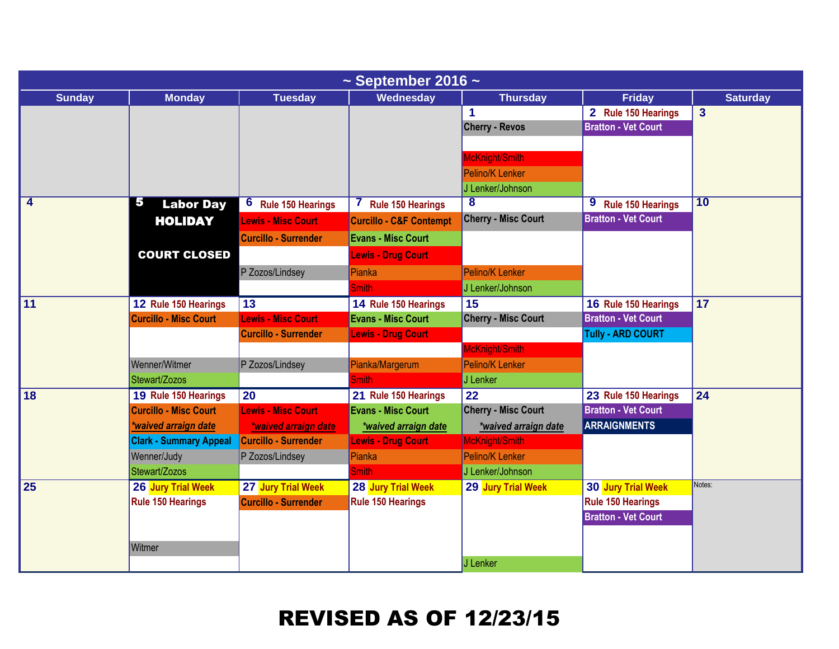| $\sim$ September 2016 $\sim$ |                               |                               |                                          |                            |                               |                         |  |  |
|------------------------------|-------------------------------|-------------------------------|------------------------------------------|----------------------------|-------------------------------|-------------------------|--|--|
| <b>Sunday</b>                | <b>Monday</b>                 | <b>Tuesday</b>                | Wednesday                                | <b>Thursday</b>            | <b>Friday</b>                 | <b>Saturday</b>         |  |  |
|                              |                               |                               |                                          | 1                          | 2 Rule 150 Hearings           | $\overline{\mathbf{3}}$ |  |  |
|                              |                               |                               |                                          | <b>Cherry - Revos</b>      | <b>Bratton - Vet Court</b>    |                         |  |  |
|                              |                               |                               |                                          |                            |                               |                         |  |  |
|                              |                               |                               |                                          | McKnight/Smith             |                               |                         |  |  |
|                              |                               |                               |                                          | Pelino/K Lenker            |                               |                         |  |  |
|                              |                               |                               |                                          | J Lenker/Johnson           |                               |                         |  |  |
| 4                            | 5<br><b>Labor Day</b>         | 6<br><b>Rule 150 Hearings</b> | <b>Rule 150 Hearings</b><br><sup>'</sup> | $\overline{\mathbf{8}}$    | 9<br><b>Rule 150 Hearings</b> | 10                      |  |  |
|                              | <b>HOLIDAY</b>                | <b>Lewis - Misc Court</b>     | <b>Curcillo - C&amp;F Contempt</b>       | <b>Cherry - Misc Court</b> | <b>Bratton - Vet Court</b>    |                         |  |  |
|                              |                               | <b>Curcillo - Surrender</b>   | <b>Evans - Misc Court</b>                |                            |                               |                         |  |  |
|                              | <b>COURT CLOSED</b>           |                               | <b>Lewis - Drug Court</b>                |                            |                               |                         |  |  |
|                              |                               | P Zozos/Lindsey               | Pianka                                   | Pelino/K Lenker            |                               |                         |  |  |
|                              |                               |                               | <b>Smith</b>                             | J Lenker/Johnson           |                               |                         |  |  |
| 11                           | 12 Rule 150 Hearings          | 13                            | 14 Rule 150 Hearings                     | 15                         | 16 Rule 150 Hearings          | $\overline{17}$         |  |  |
|                              | <b>Curcillo - Misc Court</b>  | <b>Lewis - Misc Court</b>     | <b>Evans - Misc Court</b>                | <b>Cherry - Misc Court</b> | <b>Bratton - Vet Court</b>    |                         |  |  |
|                              |                               | <b>Curcillo - Surrender</b>   | <b>Lewis - Drug Court</b>                |                            | <b>Tully - ARD COURT</b>      |                         |  |  |
|                              |                               |                               |                                          | McKnight/Smith             |                               |                         |  |  |
|                              | Wenner/Witmer                 | P Zozos/Lindsey               | Pianka/Margerum                          | Pelino/K Lenker            |                               |                         |  |  |
|                              | Stewart/Zozos                 |                               | <b>Smith</b>                             | J Lenker                   |                               |                         |  |  |
| 18                           | 19 Rule 150 Hearings          | $\overline{20}$               | 21 Rule 150 Hearings                     | 22                         | 23 Rule 150 Hearings          | 24                      |  |  |
|                              | <b>Curcillo - Misc Court</b>  | <b>Lewis - Misc Court</b>     | <b>Evans - Misc Court</b>                | <b>Cherry - Misc Court</b> | <b>Bratton - Vet Court</b>    |                         |  |  |
|                              | *waived arraign date          | *waived arraign date          | *waived arraign date                     | *waived arraign date       | <b>ARRAIGNMENTS</b>           |                         |  |  |
|                              | <b>Clark - Summary Appeal</b> | <b>Curcillo - Surrender</b>   | <b>Lewis - Drug Court</b>                | McKnight/Smith             |                               |                         |  |  |
|                              | Wenner/Judy                   | P Zozos/Lindsey               | Pianka                                   | Pelino/K Lenker            |                               |                         |  |  |
|                              | Stewart/Zozos                 |                               | <b>Smith</b>                             | J Lenker/Johnson           |                               |                         |  |  |
| 25                           | 26 Jury Trial Week            | 27 Jury Trial Week            | 28 Jury Trial Week                       | 29 Jury Trial Week         | 30 Jury Trial Week            | Notes:                  |  |  |
|                              | <b>Rule 150 Hearings</b>      | Curcillo - Surrender          | Rule 150 Hearings                        |                            | Rule 150 Hearings             |                         |  |  |
|                              |                               |                               |                                          |                            | <b>Bratton - Vet Court</b>    |                         |  |  |
|                              |                               |                               |                                          |                            |                               |                         |  |  |
|                              | Witmer                        |                               |                                          |                            |                               |                         |  |  |
|                              |                               |                               |                                          | J Lenker                   |                               |                         |  |  |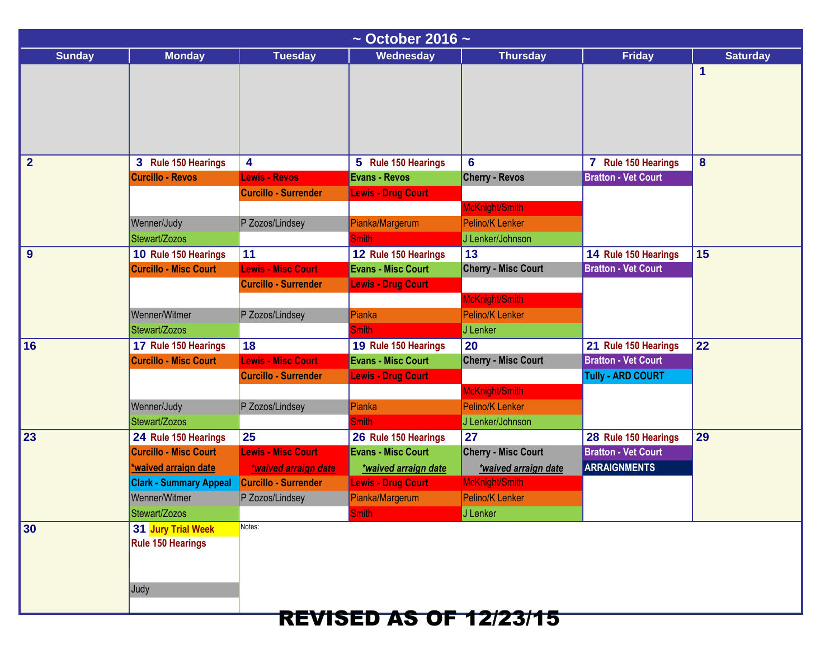| $\sim$ October 2016 $\sim$ |                               |                             |                               |                            |                            |                 |  |  |
|----------------------------|-------------------------------|-----------------------------|-------------------------------|----------------------------|----------------------------|-----------------|--|--|
| <b>Sunday</b>              | <b>Monday</b>                 | <b>Tuesday</b>              | Wednesday                     | <b>Thursday</b>            | <b>Friday</b>              | <b>Saturday</b> |  |  |
|                            |                               |                             |                               |                            |                            | 1               |  |  |
|                            |                               |                             |                               |                            |                            |                 |  |  |
|                            |                               |                             |                               |                            |                            |                 |  |  |
|                            |                               |                             |                               |                            |                            |                 |  |  |
|                            |                               |                             |                               |                            |                            |                 |  |  |
| $\overline{2}$             | 3 Rule 150 Hearings           | 4                           | 5 Rule 150 Hearings           | 6                          | 7 Rule 150 Hearings        | 8               |  |  |
|                            | <b>Curcillo - Revos</b>       | <b>Lewis - Revos</b>        | <b>Evans - Revos</b>          | <b>Cherry - Revos</b>      | <b>Bratton - Vet Court</b> |                 |  |  |
|                            |                               | <b>Curcillo - Surrender</b> | <b>Lewis - Drug Court</b>     |                            |                            |                 |  |  |
|                            |                               |                             |                               | McKnight/Smith             |                            |                 |  |  |
|                            | Wenner/Judy                   | P Zozos/Lindsey             | Pianka/Margerum               | Pelino/K Lenker            |                            |                 |  |  |
|                            | Stewart/Zozos                 |                             | <b>Smith</b>                  | J Lenker/Johnson           |                            |                 |  |  |
| 9                          | 10 Rule 150 Hearings          | 11                          | 12 Rule 150 Hearings          | 13                         | 14 Rule 150 Hearings       | 15              |  |  |
|                            | <b>Curcillo - Misc Court</b>  | <b>Lewis - Misc Court</b>   | <b>Evans - Misc Court</b>     | <b>Cherry - Misc Court</b> | <b>Bratton - Vet Court</b> |                 |  |  |
|                            |                               | <b>Curcillo - Surrender</b> | <b>Lewis - Drug Court</b>     |                            |                            |                 |  |  |
|                            |                               |                             |                               | McKnight/Smith             |                            |                 |  |  |
|                            | Wenner/Witmer                 | P Zozos/Lindsey             | Pianka                        | Pelino/K Lenker            |                            |                 |  |  |
|                            | Stewart/Zozos                 |                             | <b>Smith</b>                  | J Lenker                   |                            |                 |  |  |
| 16                         | 17 Rule 150 Hearings          | 18                          | 19 Rule 150 Hearings          | 20                         | 21 Rule 150 Hearings       | 22              |  |  |
|                            | <b>Curcillo - Misc Court</b>  | <b>Lewis - Misc Court</b>   | <b>Evans - Misc Court</b>     | <b>Cherry - Misc Court</b> | <b>Bratton - Vet Court</b> |                 |  |  |
|                            |                               | <b>Curcillo - Surrender</b> | <b>Lewis - Drug Court</b>     |                            | <b>Tully - ARD COURT</b>   |                 |  |  |
|                            |                               |                             |                               | McKnight/Smith             |                            |                 |  |  |
|                            | Wenner/Judy                   | P Zozos/Lindsey             | <b>Pianka</b>                 | Pelino/K Lenker            |                            |                 |  |  |
|                            | Stewart/Zozos                 |                             | <b>Smith</b>                  | J Lenker/Johnson           |                            |                 |  |  |
| 23                         | 24 Rule 150 Hearings          | 25                          | 26 Rule 150 Hearings          | 27                         | 28 Rule 150 Hearings       | 29              |  |  |
|                            | <b>Curcillo - Misc Court</b>  | <b>Lewis - Misc Court</b>   | <b>Evans - Misc Court</b>     | <b>Cherry - Misc Court</b> | <b>Bratton - Vet Court</b> |                 |  |  |
|                            | waived arraign date           | *waived arraign date        | *waived arraign date          | *waived arraign date       | <b>ARRAIGNMENTS</b>        |                 |  |  |
|                            | <b>Clark - Summary Appeal</b> | Curcillo - Surrender        | <b>Lewis - Drug Court</b>     | McKnight/Smith             |                            |                 |  |  |
|                            | Wenner/Witmer                 | P Zozos/Lindsey             | Pianka/Margerum               | Pelino/K Lenker            |                            |                 |  |  |
|                            | Stewart/Zozos                 |                             | Smith                         | J Lenker                   |                            |                 |  |  |
| 30                         | 31 Jury Trial Week            | Notes:                      |                               |                            |                            |                 |  |  |
|                            | <b>Rule 150 Hearings</b>      |                             |                               |                            |                            |                 |  |  |
|                            |                               |                             |                               |                            |                            |                 |  |  |
|                            |                               |                             |                               |                            |                            |                 |  |  |
|                            | Judy                          |                             |                               |                            |                            |                 |  |  |
|                            |                               |                             | <b>REVISED AS OF 12/23/15</b> |                            |                            |                 |  |  |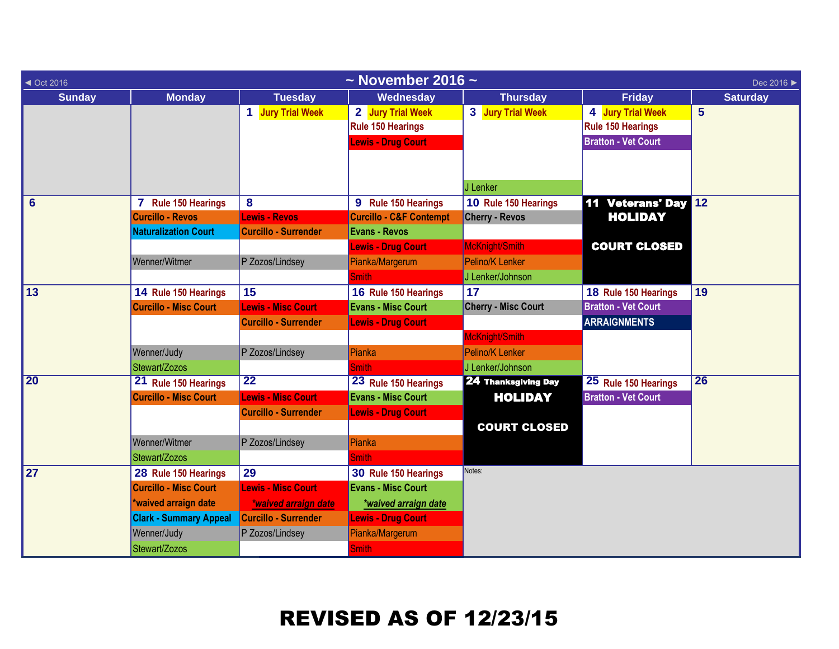| $\triangleleft$ Oct 2016 |                               |                             | $\sim$ November 2016 $\sim$        |                            |                            | Dec 2016 ▶      |
|--------------------------|-------------------------------|-----------------------------|------------------------------------|----------------------------|----------------------------|-----------------|
| <b>Sunday</b>            | <b>Monday</b>                 | <b>Tuesday</b>              | Wednesday                          | <b>Thursday</b>            | <b>Friday</b>              | <b>Saturday</b> |
|                          |                               | 1 Jury Trial Week           | 2 Jury Trial Week                  | 3 Jury Trial Week          | 4 Jury Trial Week          | $5\phantom{1}$  |
|                          |                               |                             | <b>Rule 150 Hearings</b>           |                            | Rule 150 Hearings          |                 |
|                          |                               |                             | <b>Lewis - Drug Court</b>          |                            | <b>Bratton - Vet Court</b> |                 |
|                          |                               |                             |                                    |                            |                            |                 |
|                          |                               |                             |                                    |                            |                            |                 |
|                          |                               |                             |                                    | J Lenker                   |                            |                 |
| $6\phantom{1}$           | 7 Rule 150 Hearings           | 8                           | 9 Rule 150 Hearings                | 10 Rule 150 Hearings       | <b>11 Veterans' Day</b>    | 12              |
|                          | <b>Curcillo - Revos</b>       | Lewis - Revos               | <b>Curcillo - C&amp;F Contempt</b> | <b>Cherry - Revos</b>      | <b>HOLIDAY</b>             |                 |
|                          | <b>Naturalization Court</b>   | <b>Curcillo - Surrender</b> | <b>Evans - Revos</b>               |                            |                            |                 |
|                          |                               |                             | <b>Lewis - Drug Court</b>          | McKnight/Smith             | <b>COURT CLOSED</b>        |                 |
|                          | Wenner/Witmer                 | P Zozos/Lindsey             | Pianka/Margerum                    | Pelino/K Lenker            |                            |                 |
|                          |                               |                             | <b>Smith</b>                       | J Lenker/Johnson           |                            |                 |
| 13                       | 14 Rule 150 Hearings          | 15                          | 16 Rule 150 Hearings               | 17                         | 18 Rule 150 Hearings       | 19              |
|                          | <b>Curcillo - Misc Court</b>  | <b>Lewis - Misc Court</b>   | <b>Evans - Misc Court</b>          | <b>Cherry - Misc Court</b> | <b>Bratton - Vet Court</b> |                 |
|                          |                               | <b>Curcillo - Surrender</b> | <b>Lewis - Drug Court</b>          |                            | <b>ARRAIGNMENTS</b>        |                 |
|                          |                               |                             |                                    | McKnight/Smith             |                            |                 |
|                          | Wenner/Judy                   | P Zozos/Lindsey             | Pianka                             | Pelino/K Lenker            |                            |                 |
|                          | Stewart/Zozos                 |                             | <b>Smith</b>                       | J Lenker/Johnson           |                            |                 |
| $\overline{20}$          | 21 Rule 150 Hearings          | $\overline{22}$             | 23 Rule 150 Hearings               | <b>24 Thanksgiving Day</b> | 25 Rule 150 Hearings       | 26              |
|                          | <b>Curcillo - Misc Court</b>  | <b>Lewis - Misc Court</b>   | <b>Evans - Misc Court</b>          | <b>HOLIDAY</b>             | <b>Bratton - Vet Court</b> |                 |
|                          |                               | <b>Curcillo - Surrender</b> | <b>Lewis - Drug Court</b>          |                            |                            |                 |
|                          |                               |                             |                                    | <b>COURT CLOSED</b>        |                            |                 |
|                          | Wenner/Witmer                 | P Zozos/Lindsey             | Pianka                             |                            |                            |                 |
|                          | Stewart/Zozos                 |                             | <b>Smith</b>                       |                            |                            |                 |
| 27                       | 28 Rule 150 Hearings          | 29                          | 30 Rule 150 Hearings               | Notes:                     |                            |                 |
|                          | <b>Curcillo - Misc Court</b>  | <b>Lewis - Misc Court</b>   | <b>Evans - Misc Court</b>          |                            |                            |                 |
|                          | waived arraign date           | *waived arraign date        | *waived arraign date               |                            |                            |                 |
|                          | <b>Clark - Summary Appeal</b> | <b>Curcillo - Surrender</b> | <b>Lewis - Drug Court</b>          |                            |                            |                 |
|                          | Wenner/Judy                   | P Zozos/Lindsey             | Pianka/Margerum                    |                            |                            |                 |
|                          | Stewart/Zozos                 |                             | <b>Smith</b>                       |                            |                            |                 |